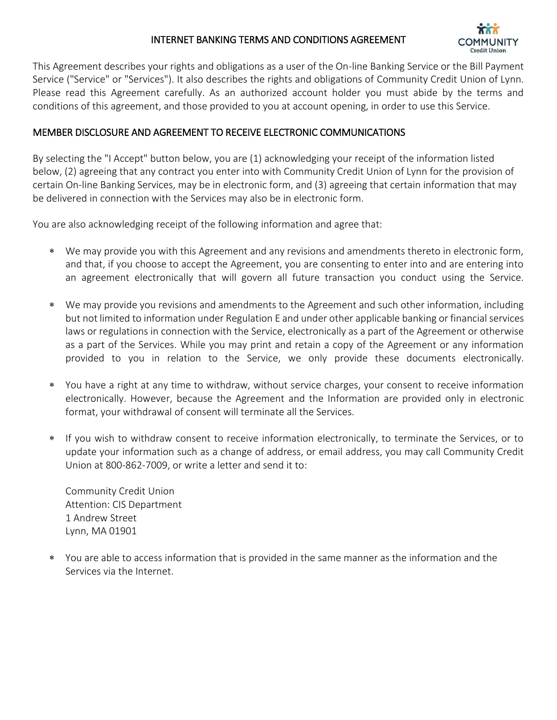# INTERNET BANKING TERMS AND CONDITIONS AGREEMENT



This Agreement describes your rights and obligations as a user of the On-line Banking Service or the Bill Payment Service ("Service" or "Services"). It also describes the rights and obligations of Community Credit Union of Lynn. Please read this Agreement carefully. As an authorized account holder you must abide by the terms and conditions of this agreement, and those provided to you at account opening, in order to use this Service.

## MEMBER DISCLOSURE AND AGREEMENT TO RECEIVE ELECTRONIC COMMUNICATIONS

By selecting the "I Accept" button below, you are (1) acknowledging your receipt of the information listed below, (2) agreeing that any contract you enter into with Community Credit Union of Lynn for the provision of certain On-line Banking Services, may be in electronic form, and (3) agreeing that certain information that may be delivered in connection with the Services may also be in electronic form.

You are also acknowledging receipt of the following information and agree that:

- We may provide you with this Agreement and any revisions and amendments thereto in electronic form, and that, if you choose to accept the Agreement, you are consenting to enter into and are entering into an agreement electronically that will govern all future transaction you conduct using the Service.
- We may provide you revisions and amendments to the Agreement and such other information, including but not limited to information under Regulation E and under other applicable banking or financial services laws or regulations in connection with the Service, electronically as a part of the Agreement or otherwise as a part of the Services. While you may print and retain a copy of the Agreement or any information provided to you in relation to the Service, we only provide these documents electronically.
- You have a right at any time to withdraw, without service charges, your consent to receive information electronically. However, because the Agreement and the Information are provided only in electronic format, your withdrawal of consent will terminate all the Services.
- If you wish to withdraw consent to receive information electronically, to terminate the Services, or to update your information such as a change of address, or email address, you may call Community Credit Union at 800-862-7009, or write a letter and send it to:

Community Credit Union Attention: CIS Department 1 Andrew Street Lynn, MA 01901

 You are able to access information that is provided in the same manner as the information and the Services via the Internet.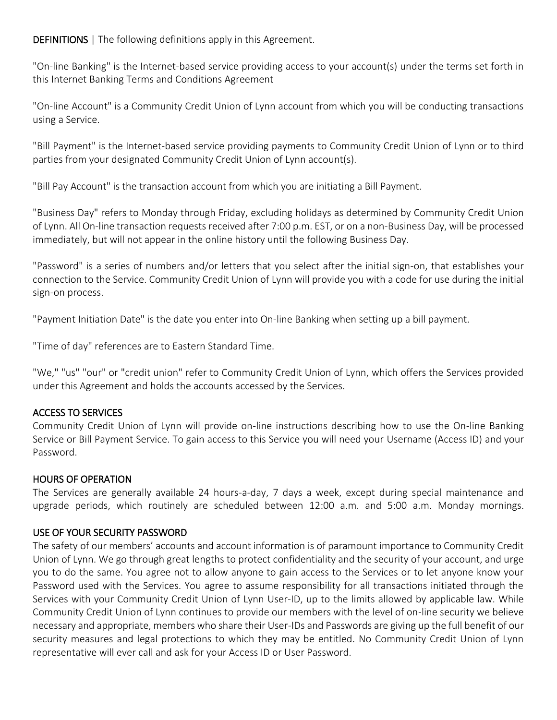DEFINITIONS | The following definitions apply in this Agreement.

"On-line Banking" is the Internet-based service providing access to your account(s) under the terms set forth in this Internet Banking Terms and Conditions Agreement

"On-line Account" is a Community Credit Union of Lynn account from which you will be conducting transactions using a Service.

"Bill Payment" is the Internet-based service providing payments to Community Credit Union of Lynn or to third parties from your designated Community Credit Union of Lynn account(s).

"Bill Pay Account" is the transaction account from which you are initiating a Bill Payment.

"Business Day" refers to Monday through Friday, excluding holidays as determined by Community Credit Union of Lynn. All On-line transaction requests received after 7:00 p.m. EST, or on a non-Business Day, will be processed immediately, but will not appear in the online history until the following Business Day.

"Password" is a series of numbers and/or letters that you select after the initial sign-on, that establishes your connection to the Service. Community Credit Union of Lynn will provide you with a code for use during the initial sign-on process.

"Payment Initiation Date" is the date you enter into On-line Banking when setting up a bill payment.

"Time of day" references are to Eastern Standard Time.

"We," "us" "our" or "credit union" refer to Community Credit Union of Lynn, which offers the Services provided under this Agreement and holds the accounts accessed by the Services.

# ACCESS TO SERVICES

Community Credit Union of Lynn will provide on-line instructions describing how to use the On-line Banking Service or Bill Payment Service. To gain access to this Service you will need your Username (Access ID) and your Password.

# HOURS OF OPERATION

The Services are generally available 24 hours-a-day, 7 days a week, except during special maintenance and upgrade periods, which routinely are scheduled between 12:00 a.m. and 5:00 a.m. Monday mornings.

# USE OF YOUR SECURITY PASSWORD

The safety of our members' accounts and account information is of paramount importance to Community Credit Union of Lynn. We go through great lengths to protect confidentiality and the security of your account, and urge you to do the same. You agree not to allow anyone to gain access to the Services or to let anyone know your Password used with the Services. You agree to assume responsibility for all transactions initiated through the Services with your Community Credit Union of Lynn User-ID, up to the limits allowed by applicable law. While Community Credit Union of Lynn continues to provide our members with the level of on-line security we believe necessary and appropriate, members who share their User-IDs and Passwords are giving up the full benefit of our security measures and legal protections to which they may be entitled. No Community Credit Union of Lynn representative will ever call and ask for your Access ID or User Password.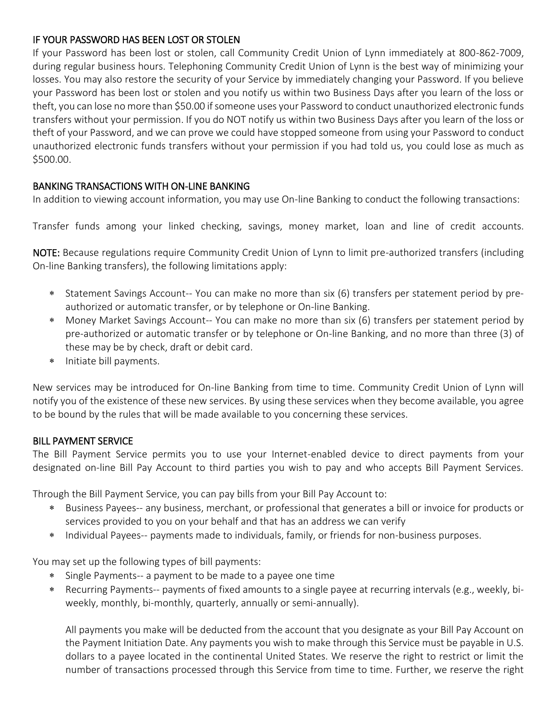### IF YOUR PASSWORD HAS BEEN LOST OR STOLEN

If your Password has been lost or stolen, call Community Credit Union of Lynn immediately at 800-862-7009, during regular business hours. Telephoning Community Credit Union of Lynn is the best way of minimizing your losses. You may also restore the security of your Service by immediately changing your Password. If you believe your Password has been lost or stolen and you notify us within two Business Days after you learn of the loss or theft, you can lose no more than \$50.00 if someone uses your Password to conduct unauthorized electronic funds transfers without your permission. If you do NOT notify us within two Business Days after you learn of the loss or theft of your Password, and we can prove we could have stopped someone from using your Password to conduct unauthorized electronic funds transfers without your permission if you had told us, you could lose as much as \$500.00.

## BANKING TRANSACTIONS WITH ON-LINE BANKING

In addition to viewing account information, you may use On-line Banking to conduct the following transactions:

Transfer funds among your linked checking, savings, money market, loan and line of credit accounts.

NOTE: Because regulations require Community Credit Union of Lynn to limit pre-authorized transfers (including On-line Banking transfers), the following limitations apply:

- Statement Savings Account-- You can make no more than six (6) transfers per statement period by preauthorized or automatic transfer, or by telephone or On-line Banking.
- Money Market Savings Account-- You can make no more than six (6) transfers per statement period by pre-authorized or automatic transfer or by telephone or On-line Banking, and no more than three (3) of these may be by check, draft or debit card.
- \* Initiate bill payments.

New services may be introduced for On-line Banking from time to time. Community Credit Union of Lynn will notify you of the existence of these new services. By using these services when they become available, you agree to be bound by the rules that will be made available to you concerning these services.

### BILL PAYMENT SERVICE

The Bill Payment Service permits you to use your Internet-enabled device to direct payments from your designated on-line Bill Pay Account to third parties you wish to pay and who accepts Bill Payment Services.

Through the Bill Payment Service, you can pay bills from your Bill Pay Account to:

- Business Payees-- any business, merchant, or professional that generates a bill or invoice for products or services provided to you on your behalf and that has an address we can verify
- \* Individual Payees-- payments made to individuals, family, or friends for non-business purposes.

You may set up the following types of bill payments:

- Single Payments-- a payment to be made to a payee one time
- Recurring Payments-- payments of fixed amounts to a single payee at recurring intervals (e.g., weekly, biweekly, monthly, bi-monthly, quarterly, annually or semi-annually).

All payments you make will be deducted from the account that you designate as your Bill Pay Account on the Payment Initiation Date. Any payments you wish to make through this Service must be payable in U.S. dollars to a payee located in the continental United States. We reserve the right to restrict or limit the number of transactions processed through this Service from time to time. Further, we reserve the right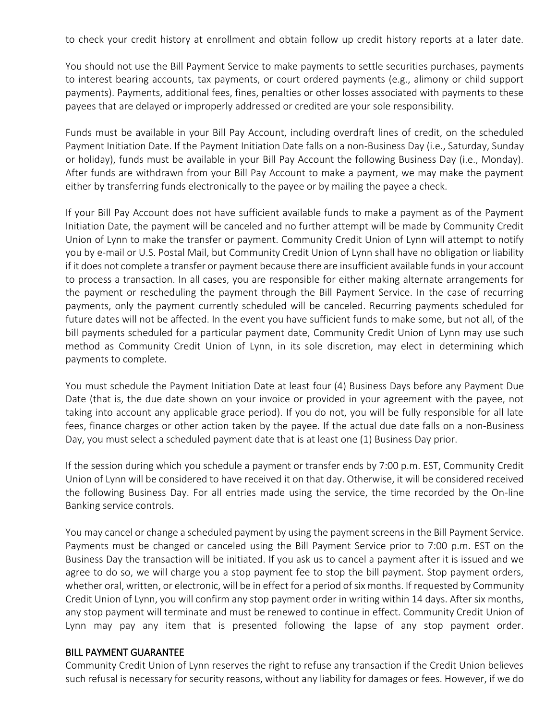to check your credit history at enrollment and obtain follow up credit history reports at a later date.

You should not use the Bill Payment Service to make payments to settle securities purchases, payments to interest bearing accounts, tax payments, or court ordered payments (e.g., alimony or child support payments). Payments, additional fees, fines, penalties or other losses associated with payments to these payees that are delayed or improperly addressed or credited are your sole responsibility.

Funds must be available in your Bill Pay Account, including overdraft lines of credit, on the scheduled Payment Initiation Date. If the Payment Initiation Date falls on a non-Business Day (i.e., Saturday, Sunday or holiday), funds must be available in your Bill Pay Account the following Business Day (i.e., Monday). After funds are withdrawn from your Bill Pay Account to make a payment, we may make the payment either by transferring funds electronically to the payee or by mailing the payee a check.

If your Bill Pay Account does not have sufficient available funds to make a payment as of the Payment Initiation Date, the payment will be canceled and no further attempt will be made by Community Credit Union of Lynn to make the transfer or payment. Community Credit Union of Lynn will attempt to notify you by e-mail or U.S. Postal Mail, but Community Credit Union of Lynn shall have no obligation or liability if it does not complete a transfer or payment because there are insufficient available funds in your account to process a transaction. In all cases, you are responsible for either making alternate arrangements for the payment or rescheduling the payment through the Bill Payment Service. In the case of recurring payments, only the payment currently scheduled will be canceled. Recurring payments scheduled for future dates will not be affected. In the event you have sufficient funds to make some, but not all, of the bill payments scheduled for a particular payment date, Community Credit Union of Lynn may use such method as Community Credit Union of Lynn, in its sole discretion, may elect in determining which payments to complete.

You must schedule the Payment Initiation Date at least four (4) Business Days before any Payment Due Date (that is, the due date shown on your invoice or provided in your agreement with the payee, not taking into account any applicable grace period). If you do not, you will be fully responsible for all late fees, finance charges or other action taken by the payee. If the actual due date falls on a non-Business Day, you must select a scheduled payment date that is at least one (1) Business Day prior.

If the session during which you schedule a payment or transfer ends by 7:00 p.m. EST, Community Credit Union of Lynn will be considered to have received it on that day. Otherwise, it will be considered received the following Business Day. For all entries made using the service, the time recorded by the On-line Banking service controls.

You may cancel or change a scheduled payment by using the payment screens in the Bill Payment Service. Payments must be changed or canceled using the Bill Payment Service prior to 7:00 p.m. EST on the Business Day the transaction will be initiated. If you ask us to cancel a payment after it is issued and we agree to do so, we will charge you a stop payment fee to stop the bill payment. Stop payment orders, whether oral, written, or electronic, will be in effect for a period of six months. If requested by Community Credit Union of Lynn, you will confirm any stop payment order in writing within 14 days. After six months, any stop payment will terminate and must be renewed to continue in effect. Community Credit Union of Lynn may pay any item that is presented following the lapse of any stop payment order.

#### BILL PAYMENT GUARANTEE

Community Credit Union of Lynn reserves the right to refuse any transaction if the Credit Union believes such refusal is necessary for security reasons, without any liability for damages or fees. However, if we do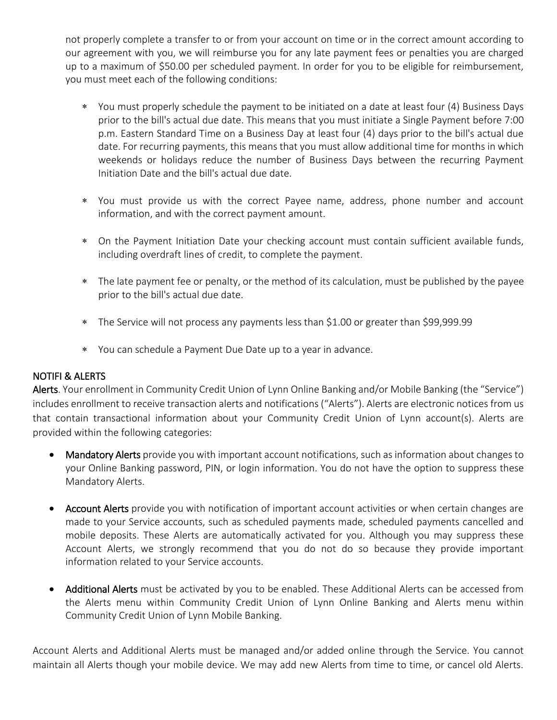not properly complete a transfer to or from your account on time or in the correct amount according to our agreement with you, we will reimburse you for any late payment fees or penalties you are charged up to a maximum of \$50.00 per scheduled payment. In order for you to be eligible for reimbursement, you must meet each of the following conditions:

- You must properly schedule the payment to be initiated on a date at least four (4) Business Days prior to the bill's actual due date. This means that you must initiate a Single Payment before 7:00 p.m. Eastern Standard Time on a Business Day at least four (4) days prior to the bill's actual due date. For recurring payments, this means that you must allow additional time for months in which weekends or holidays reduce the number of Business Days between the recurring Payment Initiation Date and the bill's actual due date.
- You must provide us with the correct Payee name, address, phone number and account information, and with the correct payment amount.
- On the Payment Initiation Date your checking account must contain sufficient available funds, including overdraft lines of credit, to complete the payment.
- The late payment fee or penalty, or the method of its calculation, must be published by the payee prior to the bill's actual due date.
- The Service will not process any payments less than \$1.00 or greater than \$99,999.99
- You can schedule a Payment Due Date up to a year in advance.

### NOTIFI & ALERTS

Alerts. Your enrollment in Community Credit Union of Lynn Online Banking and/or Mobile Banking (the "Service") includes enrollment to receive transaction alerts and notifications ("Alerts"). Alerts are electronic notices from us that contain transactional information about your Community Credit Union of Lynn account(s). Alerts are provided within the following categories:

- Mandatory Alerts provide you with important account notifications, such as information about changes to your Online Banking password, PIN, or login information. You do not have the option to suppress these Mandatory Alerts.
- Account Alerts provide you with notification of important account activities or when certain changes are made to your Service accounts, such as scheduled payments made, scheduled payments cancelled and mobile deposits. These Alerts are automatically activated for you. Although you may suppress these Account Alerts, we strongly recommend that you do not do so because they provide important information related to your Service accounts.
- Additional Alerts must be activated by you to be enabled. These Additional Alerts can be accessed from the Alerts menu within Community Credit Union of Lynn Online Banking and Alerts menu within Community Credit Union of Lynn Mobile Banking.

Account Alerts and Additional Alerts must be managed and/or added online through the Service. You cannot maintain all Alerts though your mobile device. We may add new Alerts from time to time, or cancel old Alerts.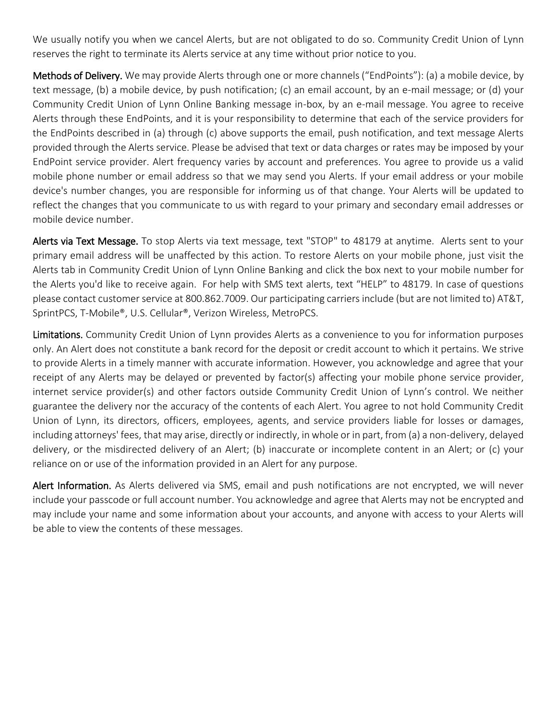We usually notify you when we cancel Alerts, but are not obligated to do so. Community Credit Union of Lynn reserves the right to terminate its Alerts service at any time without prior notice to you.

Methods of Delivery. We may provide Alerts through one or more channels ("EndPoints"): (a) a mobile device, by text message, (b) a mobile device, by push notification; (c) an email account, by an e-mail message; or (d) your Community Credit Union of Lynn Online Banking message in-box, by an e-mail message. You agree to receive Alerts through these EndPoints, and it is your responsibility to determine that each of the service providers for the EndPoints described in (a) through (c) above supports the email, push notification, and text message Alerts provided through the Alerts service. Please be advised that text or data charges or rates may be imposed by your EndPoint service provider. Alert frequency varies by account and preferences. You agree to provide us a valid mobile phone number or email address so that we may send you Alerts. If your email address or your mobile device's number changes, you are responsible for informing us of that change. Your Alerts will be updated to reflect the changes that you communicate to us with regard to your primary and secondary email addresses or mobile device number.

Alerts via Text Message. To stop Alerts via text message, text "STOP" to 48179 at anytime. Alerts sent to your primary email address will be unaffected by this action. To restore Alerts on your mobile phone, just visit the Alerts tab in Community Credit Union of Lynn Online Banking and click the box next to your mobile number for the Alerts you'd like to receive again. For help with SMS text alerts, text "HELP" to 48179. In case of questions please contact customer service at 800.862.7009. Our participating carriers include (but are not limited to) AT&T, SprintPCS, T-Mobile®, U.S. Cellular®, Verizon Wireless, MetroPCS.

Limitations. Community Credit Union of Lynn provides Alerts as a convenience to you for information purposes only. An Alert does not constitute a bank record for the deposit or credit account to which it pertains. We strive to provide Alerts in a timely manner with accurate information. However, you acknowledge and agree that your receipt of any Alerts may be delayed or prevented by factor(s) affecting your mobile phone service provider, internet service provider(s) and other factors outside Community Credit Union of Lynn's control. We neither guarantee the delivery nor the accuracy of the contents of each Alert. You agree to not hold Community Credit Union of Lynn, its directors, officers, employees, agents, and service providers liable for losses or damages, including attorneys' fees, that may arise, directly or indirectly, in whole or in part, from (a) a non-delivery, delayed delivery, or the misdirected delivery of an Alert; (b) inaccurate or incomplete content in an Alert; or (c) your reliance on or use of the information provided in an Alert for any purpose.

Alert Information. As Alerts delivered via SMS, email and push notifications are not encrypted, we will never include your passcode or full account number. You acknowledge and agree that Alerts may not be encrypted and may include your name and some information about your accounts, and anyone with access to your Alerts will be able to view the contents of these messages.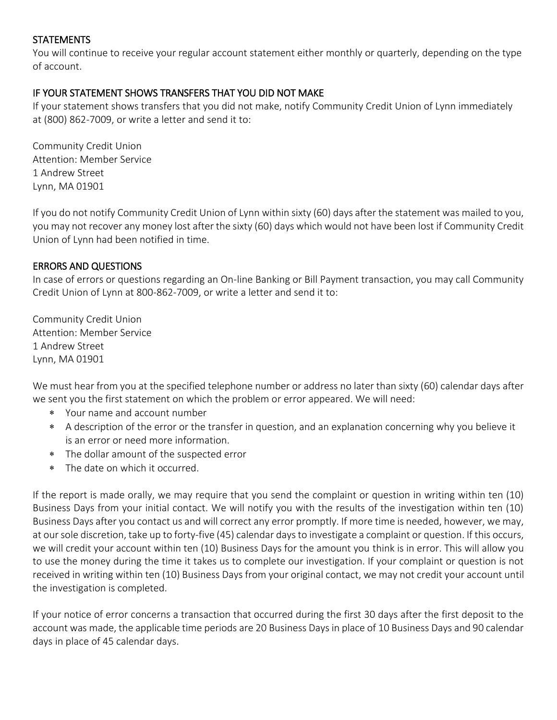## **STATEMENTS**

You will continue to receive your regular account statement either monthly or quarterly, depending on the type of account.

### IF YOUR STATEMENT SHOWS TRANSFERS THAT YOU DID NOT MAKE

If your statement shows transfers that you did not make, notify Community Credit Union of Lynn immediately at (800) 862-7009, or write a letter and send it to:

Community Credit Union Attention: Member Service 1 Andrew Street Lynn, MA 01901

If you do not notify Community Credit Union of Lynn within sixty (60) days after the statement was mailed to you, you may not recover any money lost after the sixty (60) days which would not have been lost if Community Credit Union of Lynn had been notified in time.

## ERRORS AND QUESTIONS

In case of errors or questions regarding an On-line Banking or Bill Payment transaction, you may call Community Credit Union of Lynn at 800-862-7009, or write a letter and send it to:

Community Credit Union Attention: Member Service 1 Andrew Street Lynn, MA 01901

We must hear from you at the specified telephone number or address no later than sixty (60) calendar days after we sent you the first statement on which the problem or error appeared. We will need:

- Your name and account number
- A description of the error or the transfer in question, and an explanation concerning why you believe it is an error or need more information.
- The dollar amount of the suspected error
- The date on which it occurred.

If the report is made orally, we may require that you send the complaint or question in writing within ten (10) Business Days from your initial contact. We will notify you with the results of the investigation within ten (10) Business Days after you contact us and will correct any error promptly. If more time is needed, however, we may, at our sole discretion, take up to forty-five (45) calendar days to investigate a complaint or question. If this occurs, we will credit your account within ten (10) Business Days for the amount you think is in error. This will allow you to use the money during the time it takes us to complete our investigation. If your complaint or question is not received in writing within ten (10) Business Days from your original contact, we may not credit your account until the investigation is completed.

If your notice of error concerns a transaction that occurred during the first 30 days after the first deposit to the account was made, the applicable time periods are 20 Business Days in place of 10 Business Days and 90 calendar days in place of 45 calendar days.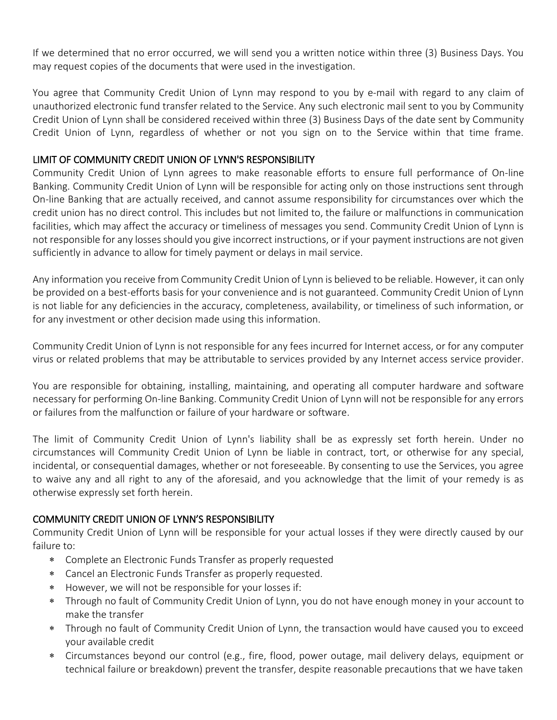If we determined that no error occurred, we will send you a written notice within three (3) Business Days. You may request copies of the documents that were used in the investigation.

You agree that Community Credit Union of Lynn may respond to you by e-mail with regard to any claim of unauthorized electronic fund transfer related to the Service. Any such electronic mail sent to you by Community Credit Union of Lynn shall be considered received within three (3) Business Days of the date sent by Community Credit Union of Lynn, regardless of whether or not you sign on to the Service within that time frame.

### LIMIT OF COMMUNITY CREDIT UNION OF LYNN'S RESPONSIBILITY

Community Credit Union of Lynn agrees to make reasonable efforts to ensure full performance of On-line Banking. Community Credit Union of Lynn will be responsible for acting only on those instructions sent through On-line Banking that are actually received, and cannot assume responsibility for circumstances over which the credit union has no direct control. This includes but not limited to, the failure or malfunctions in communication facilities, which may affect the accuracy or timeliness of messages you send. Community Credit Union of Lynn is not responsible for any losses should you give incorrect instructions, or if your payment instructions are not given sufficiently in advance to allow for timely payment or delays in mail service.

Any information you receive from Community Credit Union of Lynn is believed to be reliable. However, it can only be provided on a best-efforts basis for your convenience and is not guaranteed. Community Credit Union of Lynn is not liable for any deficiencies in the accuracy, completeness, availability, or timeliness of such information, or for any investment or other decision made using this information.

Community Credit Union of Lynn is not responsible for any fees incurred for Internet access, or for any computer virus or related problems that may be attributable to services provided by any Internet access service provider.

You are responsible for obtaining, installing, maintaining, and operating all computer hardware and software necessary for performing On-line Banking. Community Credit Union of Lynn will not be responsible for any errors or failures from the malfunction or failure of your hardware or software.

The limit of Community Credit Union of Lynn's liability shall be as expressly set forth herein. Under no circumstances will Community Credit Union of Lynn be liable in contract, tort, or otherwise for any special, incidental, or consequential damages, whether or not foreseeable. By consenting to use the Services, you agree to waive any and all right to any of the aforesaid, and you acknowledge that the limit of your remedy is as otherwise expressly set forth herein.

### COMMUNITY CREDIT UNION OF LYNN'S RESPONSIBILITY

Community Credit Union of Lynn will be responsible for your actual losses if they were directly caused by our failure to:

- Complete an Electronic Funds Transfer as properly requested
- Cancel an Electronic Funds Transfer as properly requested.
- However, we will not be responsible for your losses if:
- Through no fault of Community Credit Union of Lynn, you do not have enough money in your account to make the transfer
- Through no fault of Community Credit Union of Lynn, the transaction would have caused you to exceed your available credit
- Circumstances beyond our control (e.g., fire, flood, power outage, mail delivery delays, equipment or technical failure or breakdown) prevent the transfer, despite reasonable precautions that we have taken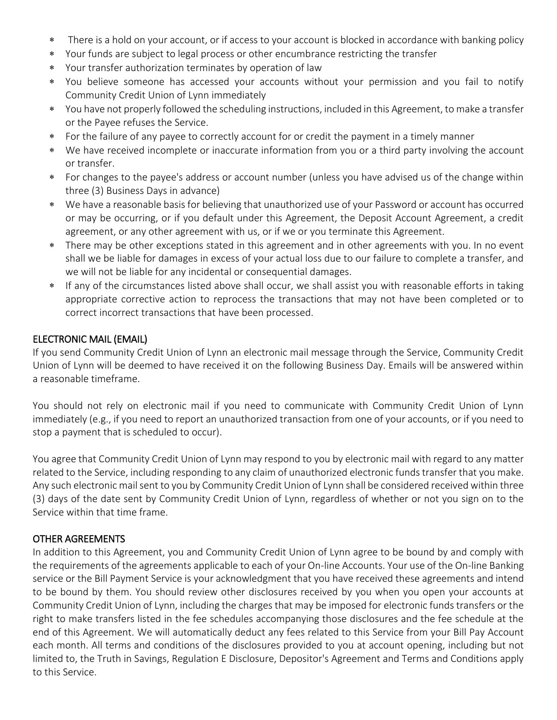- There is a hold on your account, or if access to your account is blocked in accordance with banking policy
- Your funds are subject to legal process or other encumbrance restricting the transfer
- Your transfer authorization terminates by operation of law
- You believe someone has accessed your accounts without your permission and you fail to notify Community Credit Union of Lynn immediately
- You have not properly followed the scheduling instructions, included in this Agreement, to make a transfer or the Payee refuses the Service.
- For the failure of any payee to correctly account for or credit the payment in a timely manner
- We have received incomplete or inaccurate information from you or a third party involving the account or transfer.
- For changes to the payee's address or account number (unless you have advised us of the change within three (3) Business Days in advance)
- We have a reasonable basis for believing that unauthorized use of your Password or account has occurred or may be occurring, or if you default under this Agreement, the Deposit Account Agreement, a credit agreement, or any other agreement with us, or if we or you terminate this Agreement.
- There may be other exceptions stated in this agreement and in other agreements with you. In no event shall we be liable for damages in excess of your actual loss due to our failure to complete a transfer, and we will not be liable for any incidental or consequential damages.
- If any of the circumstances listed above shall occur, we shall assist you with reasonable efforts in taking appropriate corrective action to reprocess the transactions that may not have been completed or to correct incorrect transactions that have been processed.

# ELECTRONIC MAIL (EMAIL)

If you send Community Credit Union of Lynn an electronic mail message through the Service, Community Credit Union of Lynn will be deemed to have received it on the following Business Day. Emails will be answered within a reasonable timeframe.

You should not rely on electronic mail if you need to communicate with Community Credit Union of Lynn immediately (e.g., if you need to report an unauthorized transaction from one of your accounts, or if you need to stop a payment that is scheduled to occur).

You agree that Community Credit Union of Lynn may respond to you by electronic mail with regard to any matter related to the Service, including responding to any claim of unauthorized electronic funds transfer that you make. Any such electronic mail sent to you by Community Credit Union of Lynn shall be considered received within three (3) days of the date sent by Community Credit Union of Lynn, regardless of whether or not you sign on to the Service within that time frame.

### OTHER AGREEMENTS

In addition to this Agreement, you and Community Credit Union of Lynn agree to be bound by and comply with the requirements of the agreements applicable to each of your On-line Accounts. Your use of the On-line Banking service or the Bill Payment Service is your acknowledgment that you have received these agreements and intend to be bound by them. You should review other disclosures received by you when you open your accounts at Community Credit Union of Lynn, including the charges that may be imposed for electronic funds transfers or the right to make transfers listed in the fee schedules accompanying those disclosures and the fee schedule at the end of this Agreement. We will automatically deduct any fees related to this Service from your Bill Pay Account each month. All terms and conditions of the disclosures provided to you at account opening, including but not limited to, the Truth in Savings, Regulation E Disclosure, Depositor's Agreement and Terms and Conditions apply to this Service.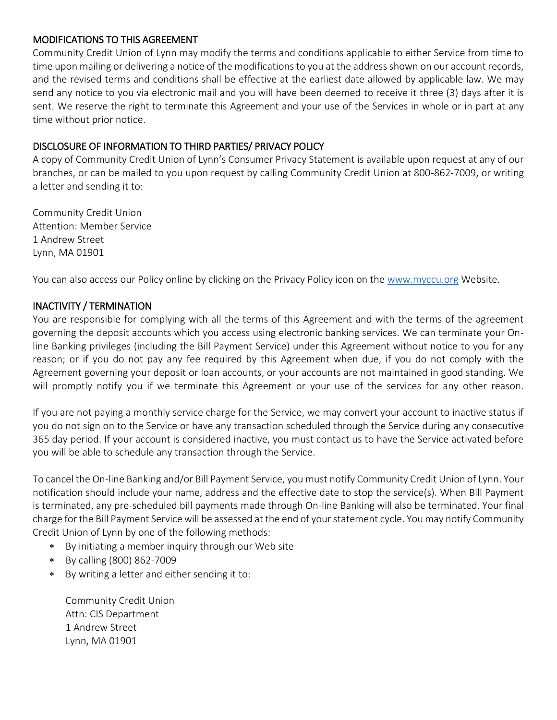### MODIFICATIONS TO THIS AGREEMENT

Community Credit Union of Lynn may modify the terms and conditions applicable to either Service from time to time upon mailing or delivering a notice of the modifications to you at the address shown on our account records, and the revised terms and conditions shall be effective at the earliest date allowed by applicable law. We may send any notice to you via electronic mail and you will have been deemed to receive it three (3) days after it is sent. We reserve the right to terminate this Agreement and your use of the Services in whole or in part at any time without prior notice.

### DISCLOSURE OF INFORMATION TO THIRD PARTIES/ PRIVACY POLICY

A copy of Community Credit Union of Lynn's Consumer Privacy Statement is available upon request at any of our branches, or can be mailed to you upon request by calling Community Credit Union at 800-862-7009, or writing a letter and sending it to:

Community Credit Union Attention: Member Service 1 Andrew Street Lynn, MA 01901

You can also access our Policy online by clicking on the Privacy Policy icon on the [www.myccu.org](http://www.myccu.org/) Website.

## INACTIVITY / TERMINATION

You are responsible for complying with all the terms of this Agreement and with the terms of the agreement governing the deposit accounts which you access using electronic banking services. We can terminate your Online Banking privileges (including the Bill Payment Service) under this Agreement without notice to you for any reason; or if you do not pay any fee required by this Agreement when due, if you do not comply with the Agreement governing your deposit or loan accounts, or your accounts are not maintained in good standing. We will promptly notify you if we terminate this Agreement or your use of the services for any other reason.

If you are not paying a monthly service charge for the Service, we may convert your account to inactive status if you do not sign on to the Service or have any transaction scheduled through the Service during any consecutive 365 day period. If your account is considered inactive, you must contact us to have the Service activated before you will be able to schedule any transaction through the Service.

To cancel the On-line Banking and/or Bill Payment Service, you must notify Community Credit Union of Lynn. Your notification should include your name, address and the effective date to stop the service(s). When Bill Payment is terminated, any pre-scheduled bill payments made through On-line Banking will also be terminated. Your final charge for the Bill Payment Service will be assessed at the end of your statement cycle. You may notify Community Credit Union of Lynn by one of the following methods:

- By initiating a member inquiry through our Web site
- By calling (800) 862-7009
- By writing a letter and either sending it to:

Community Credit Union Attn: CIS Department 1 Andrew Street Lynn, MA 01901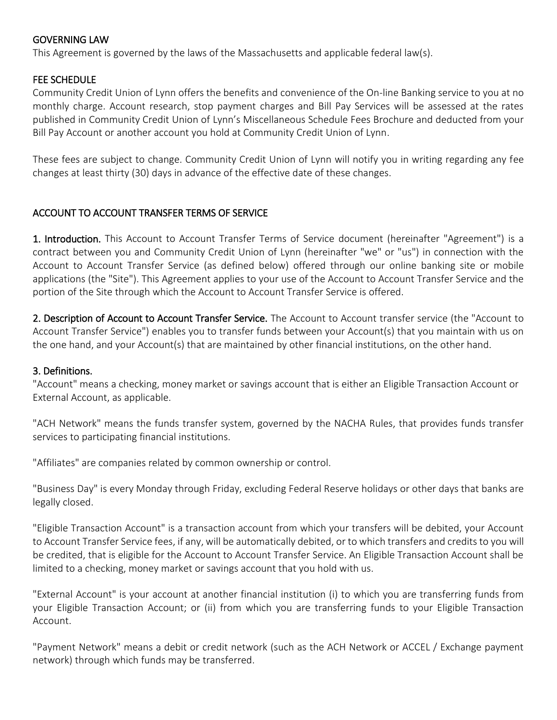### GOVERNING LAW

This Agreement is governed by the laws of the Massachusetts and applicable federal law(s).

#### FEE SCHEDULE

Community Credit Union of Lynn offers the benefits and convenience of the On-line Banking service to you at no monthly charge. Account research, stop payment charges and Bill Pay Services will be assessed at the rates published in Community Credit Union of Lynn's Miscellaneous Schedule Fees Brochure and deducted from your Bill Pay Account or another account you hold at Community Credit Union of Lynn.

These fees are subject to change. Community Credit Union of Lynn will notify you in writing regarding any fee changes at least thirty (30) days in advance of the effective date of these changes.

#### ACCOUNT TO ACCOUNT TRANSFER TERMS OF SERVICE

1. Introduction. This Account to Account Transfer Terms of Service document (hereinafter "Agreement") is a contract between you and Community Credit Union of Lynn (hereinafter "we" or "us") in connection with the Account to Account Transfer Service (as defined below) offered through our online banking site or mobile applications (the "Site"). This Agreement applies to your use of the Account to Account Transfer Service and the portion of the Site through which the Account to Account Transfer Service is offered.

2. Description of Account to Account Transfer Service. The Account to Account transfer service (the "Account to Account Transfer Service") enables you to transfer funds between your Account(s) that you maintain with us on the one hand, and your Account(s) that are maintained by other financial institutions, on the other hand.

#### 3. Definitions.

"Account" means a checking, money market or savings account that is either an Eligible Transaction Account or External Account, as applicable.

"ACH Network" means the funds transfer system, governed by the NACHA Rules, that provides funds transfer services to participating financial institutions.

"Affiliates" are companies related by common ownership or control.

"Business Day" is every Monday through Friday, excluding Federal Reserve holidays or other days that banks are legally closed.

"Eligible Transaction Account" is a transaction account from which your transfers will be debited, your Account to Account Transfer Service fees, if any, will be automatically debited, or to which transfers and credits to you will be credited, that is eligible for the Account to Account Transfer Service. An Eligible Transaction Account shall be limited to a checking, money market or savings account that you hold with us.

"External Account" is your account at another financial institution (i) to which you are transferring funds from your Eligible Transaction Account; or (ii) from which you are transferring funds to your Eligible Transaction Account.

"Payment Network" means a debit or credit network (such as the ACH Network or ACCEL / Exchange payment network) through which funds may be transferred.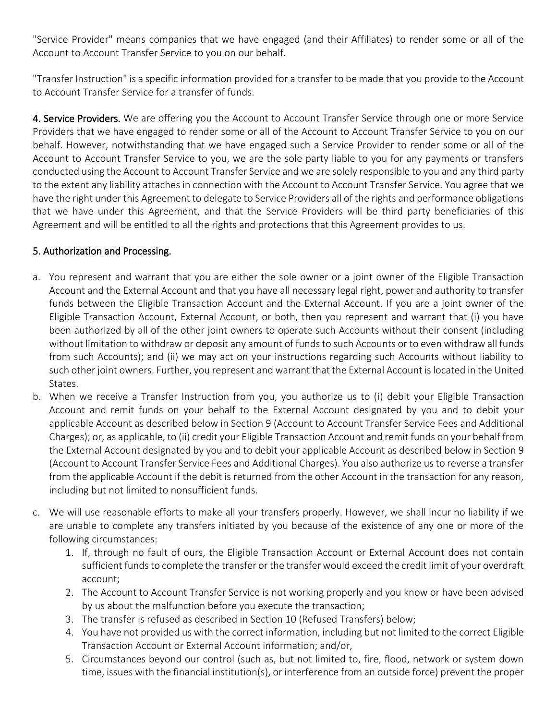"Service Provider" means companies that we have engaged (and their Affiliates) to render some or all of the Account to Account Transfer Service to you on our behalf.

"Transfer Instruction" is a specific information provided for a transfer to be made that you provide to the Account to Account Transfer Service for a transfer of funds.

4. Service Providers. We are offering you the Account to Account Transfer Service through one or more Service Providers that we have engaged to render some or all of the Account to Account Transfer Service to you on our behalf. However, notwithstanding that we have engaged such a Service Provider to render some or all of the Account to Account Transfer Service to you, we are the sole party liable to you for any payments or transfers conducted using the Account to Account Transfer Service and we are solely responsible to you and any third party to the extent any liability attaches in connection with the Account to Account Transfer Service. You agree that we have the right under this Agreement to delegate to Service Providers all of the rights and performance obligations that we have under this Agreement, and that the Service Providers will be third party beneficiaries of this Agreement and will be entitled to all the rights and protections that this Agreement provides to us.

## 5. Authorization and Processing.

- a. You represent and warrant that you are either the sole owner or a joint owner of the Eligible Transaction Account and the External Account and that you have all necessary legal right, power and authority to transfer funds between the Eligible Transaction Account and the External Account. If you are a joint owner of the Eligible Transaction Account, External Account, or both, then you represent and warrant that (i) you have been authorized by all of the other joint owners to operate such Accounts without their consent (including without limitation to withdraw or deposit any amount of funds to such Accounts or to even withdraw all funds from such Accounts); and (ii) we may act on your instructions regarding such Accounts without liability to such other joint owners. Further, you represent and warrant that the External Account is located in the United States.
- b. When we receive a Transfer Instruction from you, you authorize us to (i) debit your Eligible Transaction Account and remit funds on your behalf to the External Account designated by you and to debit your applicable Account as described below in Section 9 (Account to Account Transfer Service Fees and Additional Charges); or, as applicable, to (ii) credit your Eligible Transaction Account and remit funds on your behalf from the External Account designated by you and to debit your applicable Account as described below in Section 9 (Account to Account Transfer Service Fees and Additional Charges). You also authorize us to reverse a transfer from the applicable Account if the debit is returned from the other Account in the transaction for any reason, including but not limited to nonsufficient funds.
- c. We will use reasonable efforts to make all your transfers properly. However, we shall incur no liability if we are unable to complete any transfers initiated by you because of the existence of any one or more of the following circumstances:
	- 1. If, through no fault of ours, the Eligible Transaction Account or External Account does not contain sufficient funds to complete the transfer or the transfer would exceed the credit limit of your overdraft account;
	- 2. The Account to Account Transfer Service is not working properly and you know or have been advised by us about the malfunction before you execute the transaction;
	- 3. The transfer is refused as described in Section 10 (Refused Transfers) below;
	- 4. You have not provided us with the correct information, including but not limited to the correct Eligible Transaction Account or External Account information; and/or,
	- 5. Circumstances beyond our control (such as, but not limited to, fire, flood, network or system down time, issues with the financial institution(s), or interference from an outside force) prevent the proper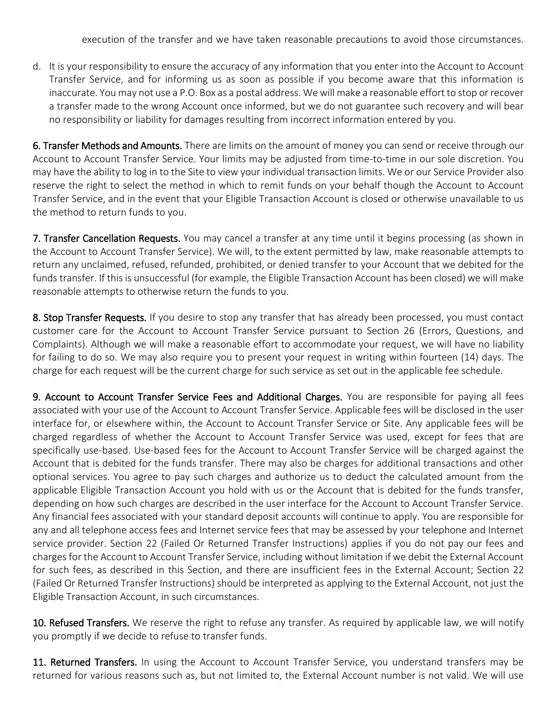execution of the transfer and we have taken reasonable precautions to avoid those circumstances.

d. It is your responsibility to ensure the accuracy of any information that you enter into the Account to Account Transfer Service, and for informing us as soon as possible if you become aware that this information is inaccurate. You may not use a P.O. Box as a postal address. We will make a reasonable effort to stop or recover a transfer made to the wrong Account once informed, but we do not guarantee such recovery and will bear no responsibility or liability for damages resulting from incorrect information entered by you.

6. Transfer Methods and Amounts. There are limits on the amount of money you can send or receive through our Account to Account Transfer Service. Your limits may be adjusted from time-to-time in our sole discretion. You may have the ability to log in to the Site to view your individual transaction limits. We or our Service Provider also reserve the right to select the method in which to remit funds on your behalf though the Account to Account Transfer Service, and in the event that your Eligible Transaction Account is closed or otherwise unavailable to us the method to return funds to you.

7. Transfer Cancellation Requests. You may cancel a transfer at any time until it begins processing (as shown in the Account to Account Transfer Service). We will, to the extent permitted by law, make reasonable attempts to return any unclaimed, refused, refunded, prohibited, or denied transfer to your Account that we debited for the funds transfer. If this is unsuccessful (for example, the Eligible Transaction Account has been closed) we will make reasonable attempts to otherwise return the funds to you.

8. Stop Transfer Requests. If you desire to stop any transfer that has already been processed, you must contact customer care for the Account to Account Transfer Service pursuant to Section 26 (Errors, Questions, and Complaints). Although we will make a reasonable effort to accommodate your request, we will have no liability for failing to do so. We may also require you to present your request in writing within fourteen (14) days. The charge for each request will be the current charge for such service as set out in the applicable fee schedule.

9. Account to Account Transfer Service Fees and Additional Charges. You are responsible for paying all fees associated with your use of the Account to Account Transfer Service. Applicable fees will be disclosed in the user interface for, or elsewhere within, the Account to Account Transfer Service or Site. Any applicable fees will be charged regardless of whether the Account to Account Transfer Service was used, except for fees that are specifically use-based. Use-based fees for the Account to Account Transfer Service will be charged against the Account that is debited for the funds transfer. There may also be charges for additional transactions and other optional services. You agree to pay such charges and authorize us to deduct the calculated amount from the applicable Eligible Transaction Account you hold with us or the Account that is debited for the funds transfer, depending on how such charges are described in the user interface for the Account to Account Transfer Service. Any financial fees associated with your standard deposit accounts will continue to apply. You are responsible for any and all telephone access fees and Internet service fees that may be assessed by your telephone and Internet service provider. Section 22 (Failed Or Returned Transfer Instructions) applies if you do not pay our fees and charges for the Account to Account Transfer Service, including without limitation if we debit the External Account for such fees, as described in this Section, and there are insufficient fees in the External Account; Section 22 (Failed Or Returned Transfer Instructions) should be interpreted as applying to the External Account, not just the Eligible Transaction Account, in such circumstances.

10. Refused Transfers. We reserve the right to refuse any transfer. As required by applicable law, we will notify you promptly if we decide to refuse to transfer funds.

11. Returned Transfers. In using the Account to Account Transfer Service, you understand transfers may be returned for various reasons such as, but not limited to, the External Account number is not valid. We will use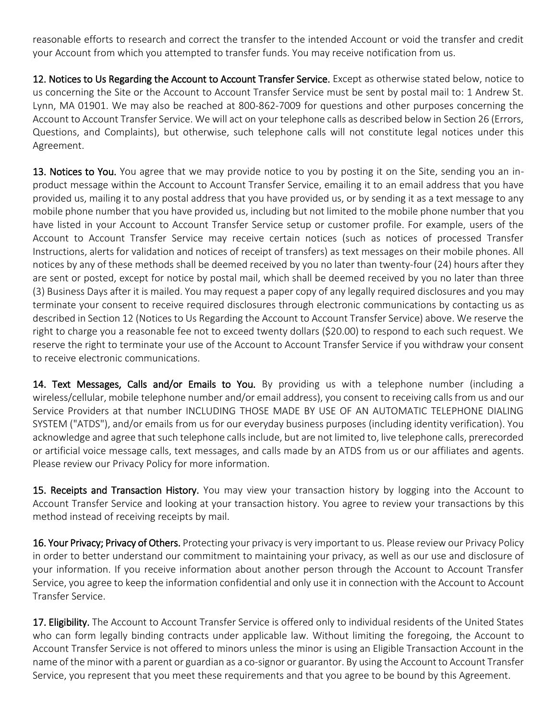reasonable efforts to research and correct the transfer to the intended Account or void the transfer and credit your Account from which you attempted to transfer funds. You may receive notification from us.

12. Notices to Us Regarding the Account to Account Transfer Service. Except as otherwise stated below, notice to us concerning the Site or the Account to Account Transfer Service must be sent by postal mail to: 1 Andrew St. Lynn, MA 01901. We may also be reached at 800-862-7009 for questions and other purposes concerning the Account to Account Transfer Service. We will act on your telephone calls as described below in Section 26 (Errors, Questions, and Complaints), but otherwise, such telephone calls will not constitute legal notices under this Agreement.

13. Notices to You. You agree that we may provide notice to you by posting it on the Site, sending you an inproduct message within the Account to Account Transfer Service, emailing it to an email address that you have provided us, mailing it to any postal address that you have provided us, or by sending it as a text message to any mobile phone number that you have provided us, including but not limited to the mobile phone number that you have listed in your Account to Account Transfer Service setup or customer profile. For example, users of the Account to Account Transfer Service may receive certain notices (such as notices of processed Transfer Instructions, alerts for validation and notices of receipt of transfers) as text messages on their mobile phones. All notices by any of these methods shall be deemed received by you no later than twenty-four (24) hours after they are sent or posted, except for notice by postal mail, which shall be deemed received by you no later than three (3) Business Days after it is mailed. You may request a paper copy of any legally required disclosures and you may terminate your consent to receive required disclosures through electronic communications by contacting us as described in Section 12 (Notices to Us Regarding the Account to Account Transfer Service) above. We reserve the right to charge you a reasonable fee not to exceed twenty dollars (\$20.00) to respond to each such request. We reserve the right to terminate your use of the Account to Account Transfer Service if you withdraw your consent to receive electronic communications.

14. Text Messages, Calls and/or Emails to You. By providing us with a telephone number (including a wireless/cellular, mobile telephone number and/or email address), you consent to receiving calls from us and our Service Providers at that number INCLUDING THOSE MADE BY USE OF AN AUTOMATIC TELEPHONE DIALING SYSTEM ("ATDS"), and/or emails from us for our everyday business purposes (including identity verification). You acknowledge and agree that such telephone calls include, but are not limited to, live telephone calls, prerecorded or artificial voice message calls, text messages, and calls made by an ATDS from us or our affiliates and agents. Please review our Privacy Policy for more information.

15. Receipts and Transaction History. You may view your transaction history by logging into the Account to Account Transfer Service and looking at your transaction history. You agree to review your transactions by this method instead of receiving receipts by mail.

16. Your Privacy; Privacy of Others. Protecting your privacy is very important to us. Please review our Privacy Policy in order to better understand our commitment to maintaining your privacy, as well as our use and disclosure of your information. If you receive information about another person through the Account to Account Transfer Service, you agree to keep the information confidential and only use it in connection with the Account to Account Transfer Service.

17. Eligibility. The Account to Account Transfer Service is offered only to individual residents of the United States who can form legally binding contracts under applicable law. Without limiting the foregoing, the Account to Account Transfer Service is not offered to minors unless the minor is using an Eligible Transaction Account in the name of the minor with a parent or guardian as a co-signor or guarantor. By using the Account to Account Transfer Service, you represent that you meet these requirements and that you agree to be bound by this Agreement.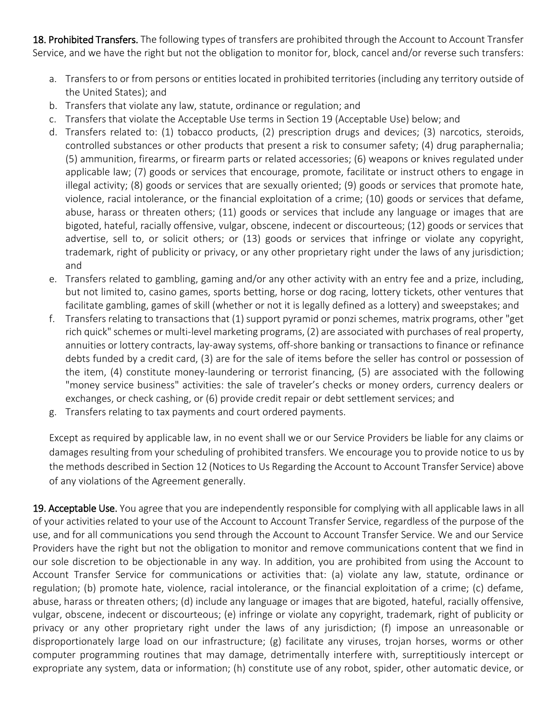18. Prohibited Transfers. The following types of transfers are prohibited through the Account to Account Transfer Service, and we have the right but not the obligation to monitor for, block, cancel and/or reverse such transfers:

- a. Transfers to or from persons or entities located in prohibited territories (including any territory outside of the United States); and
- b. Transfers that violate any law, statute, ordinance or regulation; and
- c. Transfers that violate the Acceptable Use terms in Section 19 (Acceptable Use) below; and
- d. Transfers related to: (1) tobacco products, (2) prescription drugs and devices; (3) narcotics, steroids, controlled substances or other products that present a risk to consumer safety; (4) drug paraphernalia; (5) ammunition, firearms, or firearm parts or related accessories; (6) weapons or knives regulated under applicable law; (7) goods or services that encourage, promote, facilitate or instruct others to engage in illegal activity; (8) goods or services that are sexually oriented; (9) goods or services that promote hate, violence, racial intolerance, or the financial exploitation of a crime; (10) goods or services that defame, abuse, harass or threaten others; (11) goods or services that include any language or images that are bigoted, hateful, racially offensive, vulgar, obscene, indecent or discourteous; (12) goods or services that advertise, sell to, or solicit others; or (13) goods or services that infringe or violate any copyright, trademark, right of publicity or privacy, or any other proprietary right under the laws of any jurisdiction; and
- e. Transfers related to gambling, gaming and/or any other activity with an entry fee and a prize, including, but not limited to, casino games, sports betting, horse or dog racing, lottery tickets, other ventures that facilitate gambling, games of skill (whether or not it is legally defined as a lottery) and sweepstakes; and
- f. Transfers relating to transactions that (1) support pyramid or ponzi schemes, matrix programs, other "get rich quick" schemes or multi-level marketing programs, (2) are associated with purchases of real property, annuities or lottery contracts, lay-away systems, off-shore banking or transactions to finance or refinance debts funded by a credit card, (3) are for the sale of items before the seller has control or possession of the item, (4) constitute money-laundering or terrorist financing, (5) are associated with the following "money service business" activities: the sale of traveler's checks or money orders, currency dealers or exchanges, or check cashing, or (6) provide credit repair or debt settlement services; and
- g. Transfers relating to tax payments and court ordered payments.

Except as required by applicable law, in no event shall we or our Service Providers be liable for any claims or damages resulting from your scheduling of prohibited transfers. We encourage you to provide notice to us by the methods described in Section 12 (Notices to Us Regarding the Account to Account Transfer Service) above of any violations of the Agreement generally.

19. Acceptable Use. You agree that you are independently responsible for complying with all applicable laws in all of your activities related to your use of the Account to Account Transfer Service, regardless of the purpose of the use, and for all communications you send through the Account to Account Transfer Service. We and our Service Providers have the right but not the obligation to monitor and remove communications content that we find in our sole discretion to be objectionable in any way. In addition, you are prohibited from using the Account to Account Transfer Service for communications or activities that: (a) violate any law, statute, ordinance or regulation; (b) promote hate, violence, racial intolerance, or the financial exploitation of a crime; (c) defame, abuse, harass or threaten others; (d) include any language or images that are bigoted, hateful, racially offensive, vulgar, obscene, indecent or discourteous; (e) infringe or violate any copyright, trademark, right of publicity or privacy or any other proprietary right under the laws of any jurisdiction; (f) impose an unreasonable or disproportionately large load on our infrastructure; (g) facilitate any viruses, trojan horses, worms or other computer programming routines that may damage, detrimentally interfere with, surreptitiously intercept or expropriate any system, data or information; (h) constitute use of any robot, spider, other automatic device, or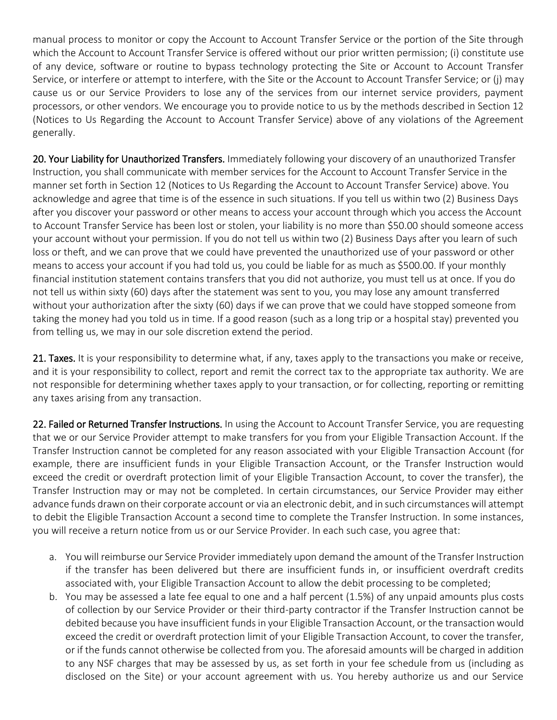manual process to monitor or copy the Account to Account Transfer Service or the portion of the Site through which the Account to Account Transfer Service is offered without our prior written permission; (i) constitute use of any device, software or routine to bypass technology protecting the Site or Account to Account Transfer Service, or interfere or attempt to interfere, with the Site or the Account to Account Transfer Service; or (j) may cause us or our Service Providers to lose any of the services from our internet service providers, payment processors, or other vendors. We encourage you to provide notice to us by the methods described in Section 12 (Notices to Us Regarding the Account to Account Transfer Service) above of any violations of the Agreement generally.

20. Your Liability for Unauthorized Transfers. Immediately following your discovery of an unauthorized Transfer Instruction, you shall communicate with member services for the Account to Account Transfer Service in the manner set forth in Section 12 (Notices to Us Regarding the Account to Account Transfer Service) above. You acknowledge and agree that time is of the essence in such situations. If you tell us within two (2) Business Days after you discover your password or other means to access your account through which you access the Account to Account Transfer Service has been lost or stolen, your liability is no more than \$50.00 should someone access your account without your permission. If you do not tell us within two (2) Business Days after you learn of such loss or theft, and we can prove that we could have prevented the unauthorized use of your password or other means to access your account if you had told us, you could be liable for as much as \$500.00. If your monthly financial institution statement contains transfers that you did not authorize, you must tell us at once. If you do not tell us within sixty (60) days after the statement was sent to you, you may lose any amount transferred without your authorization after the sixty (60) days if we can prove that we could have stopped someone from taking the money had you told us in time. If a good reason (such as a long trip or a hospital stay) prevented you from telling us, we may in our sole discretion extend the period.

21. Taxes. It is your responsibility to determine what, if any, taxes apply to the transactions you make or receive, and it is your responsibility to collect, report and remit the correct tax to the appropriate tax authority. We are not responsible for determining whether taxes apply to your transaction, or for collecting, reporting or remitting any taxes arising from any transaction.

22. Failed or Returned Transfer Instructions. In using the Account to Account Transfer Service, you are requesting that we or our Service Provider attempt to make transfers for you from your Eligible Transaction Account. If the Transfer Instruction cannot be completed for any reason associated with your Eligible Transaction Account (for example, there are insufficient funds in your Eligible Transaction Account, or the Transfer Instruction would exceed the credit or overdraft protection limit of your Eligible Transaction Account, to cover the transfer), the Transfer Instruction may or may not be completed. In certain circumstances, our Service Provider may either advance funds drawn on their corporate account or via an electronic debit, and in such circumstances will attempt to debit the Eligible Transaction Account a second time to complete the Transfer Instruction. In some instances, you will receive a return notice from us or our Service Provider. In each such case, you agree that:

- a. You will reimburse our Service Provider immediately upon demand the amount of the Transfer Instruction if the transfer has been delivered but there are insufficient funds in, or insufficient overdraft credits associated with, your Eligible Transaction Account to allow the debit processing to be completed;
- b. You may be assessed a late fee equal to one and a half percent (1.5%) of any unpaid amounts plus costs of collection by our Service Provider or their third-party contractor if the Transfer Instruction cannot be debited because you have insufficient funds in your Eligible Transaction Account, or the transaction would exceed the credit or overdraft protection limit of your Eligible Transaction Account, to cover the transfer, or if the funds cannot otherwise be collected from you. The aforesaid amounts will be charged in addition to any NSF charges that may be assessed by us, as set forth in your fee schedule from us (including as disclosed on the Site) or your account agreement with us. You hereby authorize us and our Service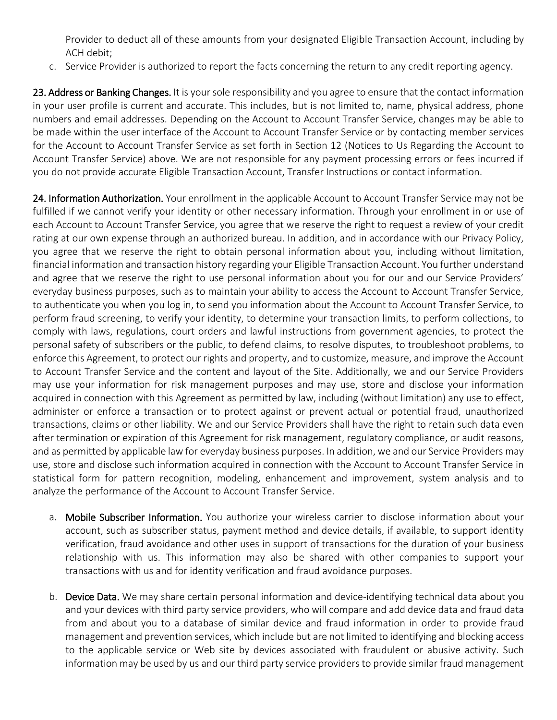Provider to deduct all of these amounts from your designated Eligible Transaction Account, including by ACH debit;

c. Service Provider is authorized to report the facts concerning the return to any credit reporting agency.

23. Address or Banking Changes. It is your sole responsibility and you agree to ensure that the contact information in your user profile is current and accurate. This includes, but is not limited to, name, physical address, phone numbers and email addresses. Depending on the Account to Account Transfer Service, changes may be able to be made within the user interface of the Account to Account Transfer Service or by contacting member services for the Account to Account Transfer Service as set forth in Section 12 (Notices to Us Regarding the Account to Account Transfer Service) above. We are not responsible for any payment processing errors or fees incurred if you do not provide accurate Eligible Transaction Account, Transfer Instructions or contact information.

24. Information Authorization. Your enrollment in the applicable Account to Account Transfer Service may not be fulfilled if we cannot verify your identity or other necessary information. Through your enrollment in or use of each Account to Account Transfer Service, you agree that we reserve the right to request a review of your credit rating at our own expense through an authorized bureau. In addition, and in accordance with our Privacy Policy, you agree that we reserve the right to obtain personal information about you, including without limitation, financial information and transaction history regarding your Eligible Transaction Account. You further understand and agree that we reserve the right to use personal information about you for our and our Service Providers' everyday business purposes, such as to maintain your ability to access the Account to Account Transfer Service, to authenticate you when you log in, to send you information about the Account to Account Transfer Service, to perform fraud screening, to verify your identity, to determine your transaction limits, to perform collections, to comply with laws, regulations, court orders and lawful instructions from government agencies, to protect the personal safety of subscribers or the public, to defend claims, to resolve disputes, to troubleshoot problems, to enforce this Agreement, to protect our rights and property, and to customize, measure, and improve the Account to Account Transfer Service and the content and layout of the Site. Additionally, we and our Service Providers may use your information for risk management purposes and may use, store and disclose your information acquired in connection with this Agreement as permitted by law, including (without limitation) any use to effect, administer or enforce a transaction or to protect against or prevent actual or potential fraud, unauthorized transactions, claims or other liability. We and our Service Providers shall have the right to retain such data even after termination or expiration of this Agreement for risk management, regulatory compliance, or audit reasons, and as permitted by applicable law for everyday business purposes. In addition, we and our Service Providers may use, store and disclose such information acquired in connection with the Account to Account Transfer Service in statistical form for pattern recognition, modeling, enhancement and improvement, system analysis and to analyze the performance of the Account to Account Transfer Service.

- a. Mobile Subscriber Information. You authorize your wireless carrier to disclose information about your account, such as subscriber status, payment method and device details, if available, to support identity verification, fraud avoidance and other uses in support of transactions for the duration of your business relationship with us. This information may also be shared with other companies to support your transactions with us and for identity verification and fraud avoidance purposes.
- b. Device Data. We may share certain personal information and device-identifying technical data about you and your devices with third party service providers, who will compare and add device data and fraud data from and about you to a database of similar device and fraud information in order to provide fraud management and prevention services, which include but are not limited to identifying and blocking access to the applicable service or Web site by devices associated with fraudulent or abusive activity. Such information may be used by us and our third party service providers to provide similar fraud management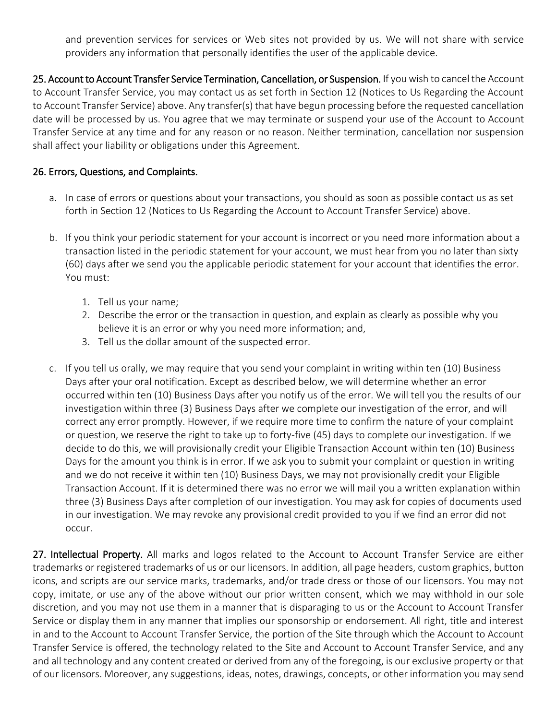and prevention services for services or Web sites not provided by us. We will not share with service providers any information that personally identifies the user of the applicable device.

25. Account to Account Transfer Service Termination, Cancellation, or Suspension. If you wish to cancel the Account to Account Transfer Service, you may contact us as set forth in Section 12 (Notices to Us Regarding the Account to Account Transfer Service) above. Any transfer(s) that have begun processing before the requested cancellation date will be processed by us. You agree that we may terminate or suspend your use of the Account to Account Transfer Service at any time and for any reason or no reason. Neither termination, cancellation nor suspension shall affect your liability or obligations under this Agreement.

## 26. Errors, Questions, and Complaints.

- a. In case of errors or questions about your transactions, you should as soon as possible contact us as set forth in Section 12 (Notices to Us Regarding the Account to Account Transfer Service) above.
- b. If you think your periodic statement for your account is incorrect or you need more information about a transaction listed in the periodic statement for your account, we must hear from you no later than sixty (60) days after we send you the applicable periodic statement for your account that identifies the error. You must:
	- 1. Tell us your name;
	- 2. Describe the error or the transaction in question, and explain as clearly as possible why you believe it is an error or why you need more information; and,
	- 3. Tell us the dollar amount of the suspected error.
- c. If you tell us orally, we may require that you send your complaint in writing within ten (10) Business Days after your oral notification. Except as described below, we will determine whether an error occurred within ten (10) Business Days after you notify us of the error. We will tell you the results of our investigation within three (3) Business Days after we complete our investigation of the error, and will correct any error promptly. However, if we require more time to confirm the nature of your complaint or question, we reserve the right to take up to forty-five (45) days to complete our investigation. If we decide to do this, we will provisionally credit your Eligible Transaction Account within ten (10) Business Days for the amount you think is in error. If we ask you to submit your complaint or question in writing and we do not receive it within ten (10) Business Days, we may not provisionally credit your Eligible Transaction Account. If it is determined there was no error we will mail you a written explanation within three (3) Business Days after completion of our investigation. You may ask for copies of documents used in our investigation. We may revoke any provisional credit provided to you if we find an error did not occur.

27. Intellectual Property. All marks and logos related to the Account to Account Transfer Service are either trademarks or registered trademarks of us or our licensors. In addition, all page headers, custom graphics, button icons, and scripts are our service marks, trademarks, and/or trade dress or those of our licensors. You may not copy, imitate, or use any of the above without our prior written consent, which we may withhold in our sole discretion, and you may not use them in a manner that is disparaging to us or the Account to Account Transfer Service or display them in any manner that implies our sponsorship or endorsement. All right, title and interest in and to the Account to Account Transfer Service, the portion of the Site through which the Account to Account Transfer Service is offered, the technology related to the Site and Account to Account Transfer Service, and any and all technology and any content created or derived from any of the foregoing, is our exclusive property or that of our licensors. Moreover, any suggestions, ideas, notes, drawings, concepts, or other information you may send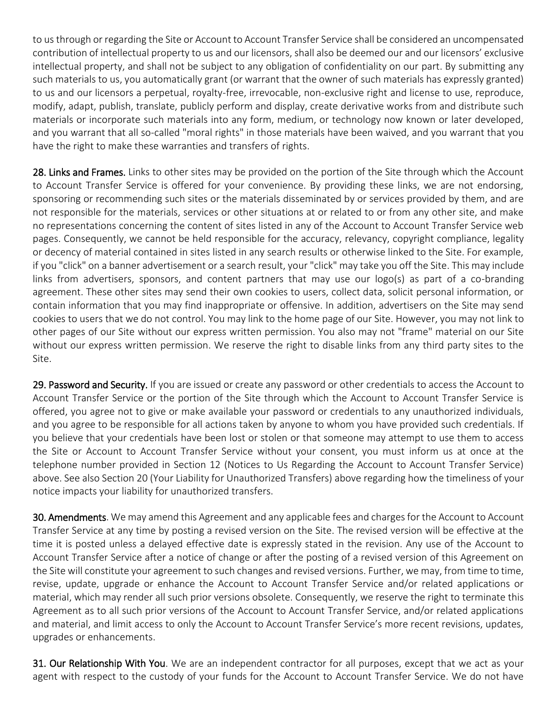to us through or regarding the Site or Account to Account Transfer Service shall be considered an uncompensated contribution of intellectual property to us and our licensors, shall also be deemed our and our licensors' exclusive intellectual property, and shall not be subject to any obligation of confidentiality on our part. By submitting any such materials to us, you automatically grant (or warrant that the owner of such materials has expressly granted) to us and our licensors a perpetual, royalty-free, irrevocable, non-exclusive right and license to use, reproduce, modify, adapt, publish, translate, publicly perform and display, create derivative works from and distribute such materials or incorporate such materials into any form, medium, or technology now known or later developed, and you warrant that all so-called "moral rights" in those materials have been waived, and you warrant that you have the right to make these warranties and transfers of rights.

28. Links and Frames. Links to other sites may be provided on the portion of the Site through which the Account to Account Transfer Service is offered for your convenience. By providing these links, we are not endorsing, sponsoring or recommending such sites or the materials disseminated by or services provided by them, and are not responsible for the materials, services or other situations at or related to or from any other site, and make no representations concerning the content of sites listed in any of the Account to Account Transfer Service web pages. Consequently, we cannot be held responsible for the accuracy, relevancy, copyright compliance, legality or decency of material contained in sites listed in any search results or otherwise linked to the Site. For example, if you "click" on a banner advertisement or a search result, your "click" may take you off the Site. This may include links from advertisers, sponsors, and content partners that may use our logo(s) as part of a co-branding agreement. These other sites may send their own cookies to users, collect data, solicit personal information, or contain information that you may find inappropriate or offensive. In addition, advertisers on the Site may send cookies to users that we do not control. You may link to the home page of our Site. However, you may not link to other pages of our Site without our express written permission. You also may not "frame" material on our Site without our express written permission. We reserve the right to disable links from any third party sites to the Site.

29. Password and Security. If you are issued or create any password or other credentials to access the Account to Account Transfer Service or the portion of the Site through which the Account to Account Transfer Service is offered, you agree not to give or make available your password or credentials to any unauthorized individuals, and you agree to be responsible for all actions taken by anyone to whom you have provided such credentials. If you believe that your credentials have been lost or stolen or that someone may attempt to use them to access the Site or Account to Account Transfer Service without your consent, you must inform us at once at the telephone number provided in Section 12 (Notices to Us Regarding the Account to Account Transfer Service) above. See also Section 20 (Your Liability for Unauthorized Transfers) above regarding how the timeliness of your notice impacts your liability for unauthorized transfers.

30. Amendments. We may amend this Agreement and any applicable fees and charges for the Account to Account Transfer Service at any time by posting a revised version on the Site. The revised version will be effective at the time it is posted unless a delayed effective date is expressly stated in the revision. Any use of the Account to Account Transfer Service after a notice of change or after the posting of a revised version of this Agreement on the Site will constitute your agreement to such changes and revised versions. Further, we may, from time to time, revise, update, upgrade or enhance the Account to Account Transfer Service and/or related applications or material, which may render all such prior versions obsolete. Consequently, we reserve the right to terminate this Agreement as to all such prior versions of the Account to Account Transfer Service, and/or related applications and material, and limit access to only the Account to Account Transfer Service's more recent revisions, updates, upgrades or enhancements.

31. Our Relationship With You. We are an independent contractor for all purposes, except that we act as your agent with respect to the custody of your funds for the Account to Account Transfer Service. We do not have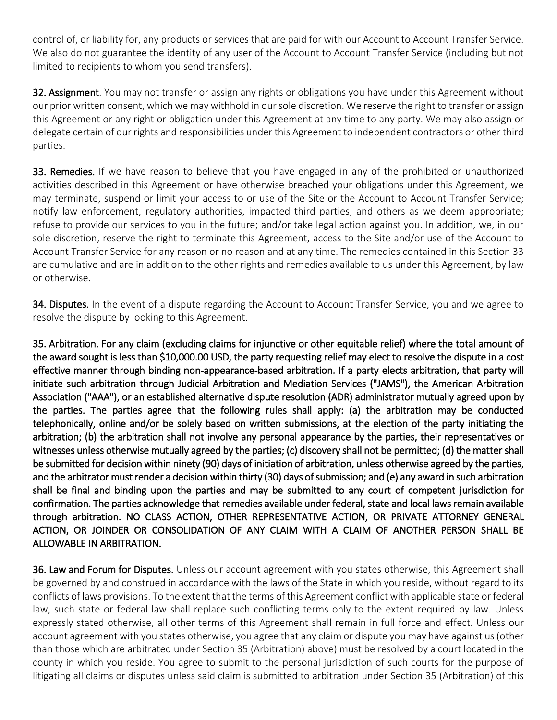control of, or liability for, any products or services that are paid for with our Account to Account Transfer Service. We also do not guarantee the identity of any user of the Account to Account Transfer Service (including but not limited to recipients to whom you send transfers).

32. Assignment. You may not transfer or assign any rights or obligations you have under this Agreement without our prior written consent, which we may withhold in our sole discretion. We reserve the right to transfer or assign this Agreement or any right or obligation under this Agreement at any time to any party. We may also assign or delegate certain of our rights and responsibilities under this Agreement to independent contractors or other third parties.

33. Remedies. If we have reason to believe that you have engaged in any of the prohibited or unauthorized activities described in this Agreement or have otherwise breached your obligations under this Agreement, we may terminate, suspend or limit your access to or use of the Site or the Account to Account Transfer Service; notify law enforcement, regulatory authorities, impacted third parties, and others as we deem appropriate; refuse to provide our services to you in the future; and/or take legal action against you. In addition, we, in our sole discretion, reserve the right to terminate this Agreement, access to the Site and/or use of the Account to Account Transfer Service for any reason or no reason and at any time. The remedies contained in this Section 33 are cumulative and are in addition to the other rights and remedies available to us under this Agreement, by law or otherwise.

34. Disputes. In the event of a dispute regarding the Account to Account Transfer Service, you and we agree to resolve the dispute by looking to this Agreement.

35. Arbitration. For any claim (excluding claims for injunctive or other equitable relief) where the total amount of the award sought is less than \$10,000.00 USD, the party requesting relief may elect to resolve the dispute in a cost effective manner through binding non-appearance-based arbitration. If a party elects arbitration, that party will initiate such arbitration through Judicial Arbitration and Mediation Services ("JAMS"), the American Arbitration Association ("AAA"), or an established alternative dispute resolution (ADR) administrator mutually agreed upon by the parties. The parties agree that the following rules shall apply: (a) the arbitration may be conducted telephonically, online and/or be solely based on written submissions, at the election of the party initiating the arbitration; (b) the arbitration shall not involve any personal appearance by the parties, their representatives or witnesses unless otherwise mutually agreed by the parties; (c) discovery shall not be permitted; (d) the matter shall be submitted for decision within ninety (90) days of initiation of arbitration, unless otherwise agreed by the parties, and the arbitrator must render a decision within thirty (30) days of submission; and (e) any award in such arbitration shall be final and binding upon the parties and may be submitted to any court of competent jurisdiction for confirmation. The parties acknowledge that remedies available under federal, state and local laws remain available through arbitration. NO CLASS ACTION, OTHER REPRESENTATIVE ACTION, OR PRIVATE ATTORNEY GENERAL ACTION, OR JOINDER OR CONSOLIDATION OF ANY CLAIM WITH A CLAIM OF ANOTHER PERSON SHALL BE ALLOWABLE IN ARBITRATION.

36. Law and Forum for Disputes. Unless our account agreement with you states otherwise, this Agreement shall be governed by and construed in accordance with the laws of the State in which you reside, without regard to its conflicts of laws provisions. To the extent that the terms of this Agreement conflict with applicable state or federal law, such state or federal law shall replace such conflicting terms only to the extent required by law. Unless expressly stated otherwise, all other terms of this Agreement shall remain in full force and effect. Unless our account agreement with you states otherwise, you agree that any claim or dispute you may have against us (other than those which are arbitrated under Section 35 (Arbitration) above) must be resolved by a court located in the county in which you reside. You agree to submit to the personal jurisdiction of such courts for the purpose of litigating all claims or disputes unless said claim is submitted to arbitration under Section 35 (Arbitration) of this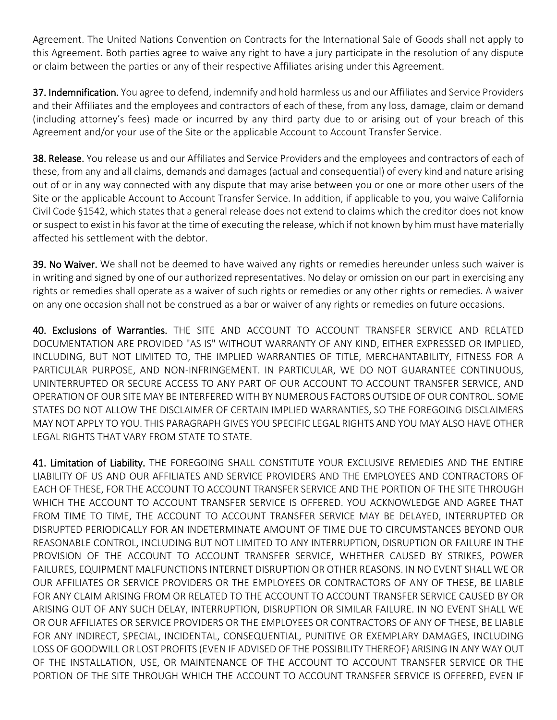Agreement. The United Nations Convention on Contracts for the International Sale of Goods shall not apply to this Agreement. Both parties agree to waive any right to have a jury participate in the resolution of any dispute or claim between the parties or any of their respective Affiliates arising under this Agreement.

37. Indemnification. You agree to defend, indemnify and hold harmless us and our Affiliates and Service Providers and their Affiliates and the employees and contractors of each of these, from any loss, damage, claim or demand (including attorney's fees) made or incurred by any third party due to or arising out of your breach of this Agreement and/or your use of the Site or the applicable Account to Account Transfer Service.

38. Release. You release us and our Affiliates and Service Providers and the employees and contractors of each of these, from any and all claims, demands and damages (actual and consequential) of every kind and nature arising out of or in any way connected with any dispute that may arise between you or one or more other users of the Site or the applicable Account to Account Transfer Service. In addition, if applicable to you, you waive California Civil Code §1542, which states that a general release does not extend to claims which the creditor does not know or suspect to exist in his favor at the time of executing the release, which if not known by him must have materially affected his settlement with the debtor.

39. No Waiver. We shall not be deemed to have waived any rights or remedies hereunder unless such waiver is in writing and signed by one of our authorized representatives. No delay or omission on our part in exercising any rights or remedies shall operate as a waiver of such rights or remedies or any other rights or remedies. A waiver on any one occasion shall not be construed as a bar or waiver of any rights or remedies on future occasions.

40. Exclusions of Warranties. THE SITE AND ACCOUNT TO ACCOUNT TRANSFER SERVICE AND RELATED DOCUMENTATION ARE PROVIDED "AS IS" WITHOUT WARRANTY OF ANY KIND, EITHER EXPRESSED OR IMPLIED, INCLUDING, BUT NOT LIMITED TO, THE IMPLIED WARRANTIES OF TITLE, MERCHANTABILITY, FITNESS FOR A PARTICULAR PURPOSE, AND NON-INFRINGEMENT. IN PARTICULAR, WE DO NOT GUARANTEE CONTINUOUS, UNINTERRUPTED OR SECURE ACCESS TO ANY PART OF OUR ACCOUNT TO ACCOUNT TRANSFER SERVICE, AND OPERATION OF OUR SITE MAY BE INTERFERED WITH BY NUMEROUS FACTORS OUTSIDE OF OUR CONTROL. SOME STATES DO NOT ALLOW THE DISCLAIMER OF CERTAIN IMPLIED WARRANTIES, SO THE FOREGOING DISCLAIMERS MAY NOT APPLY TO YOU. THIS PARAGRAPH GIVES YOU SPECIFIC LEGAL RIGHTS AND YOU MAY ALSO HAVE OTHER LEGAL RIGHTS THAT VARY FROM STATE TO STATE.

41. Limitation of Liability. THE FOREGOING SHALL CONSTITUTE YOUR EXCLUSIVE REMEDIES AND THE ENTIRE LIABILITY OF US AND OUR AFFILIATES AND SERVICE PROVIDERS AND THE EMPLOYEES AND CONTRACTORS OF EACH OF THESE, FOR THE ACCOUNT TO ACCOUNT TRANSFER SERVICE AND THE PORTION OF THE SITE THROUGH WHICH THE ACCOUNT TO ACCOUNT TRANSFER SERVICE IS OFFERED. YOU ACKNOWLEDGE AND AGREE THAT FROM TIME TO TIME, THE ACCOUNT TO ACCOUNT TRANSFER SERVICE MAY BE DELAYED, INTERRUPTED OR DISRUPTED PERIODICALLY FOR AN INDETERMINATE AMOUNT OF TIME DUE TO CIRCUMSTANCES BEYOND OUR REASONABLE CONTROL, INCLUDING BUT NOT LIMITED TO ANY INTERRUPTION, DISRUPTION OR FAILURE IN THE PROVISION OF THE ACCOUNT TO ACCOUNT TRANSFER SERVICE, WHETHER CAUSED BY STRIKES, POWER FAILURES, EQUIPMENT MALFUNCTIONS INTERNET DISRUPTION OR OTHER REASONS. IN NO EVENT SHALL WE OR OUR AFFILIATES OR SERVICE PROVIDERS OR THE EMPLOYEES OR CONTRACTORS OF ANY OF THESE, BE LIABLE FOR ANY CLAIM ARISING FROM OR RELATED TO THE ACCOUNT TO ACCOUNT TRANSFER SERVICE CAUSED BY OR ARISING OUT OF ANY SUCH DELAY, INTERRUPTION, DISRUPTION OR SIMILAR FAILURE. IN NO EVENT SHALL WE OR OUR AFFILIATES OR SERVICE PROVIDERS OR THE EMPLOYEES OR CONTRACTORS OF ANY OF THESE, BE LIABLE FOR ANY INDIRECT, SPECIAL, INCIDENTAL, CONSEQUENTIAL, PUNITIVE OR EXEMPLARY DAMAGES, INCLUDING LOSS OF GOODWILL OR LOST PROFITS (EVEN IF ADVISED OF THE POSSIBILITY THEREOF) ARISING IN ANY WAY OUT OF THE INSTALLATION, USE, OR MAINTENANCE OF THE ACCOUNT TO ACCOUNT TRANSFER SERVICE OR THE PORTION OF THE SITE THROUGH WHICH THE ACCOUNT TO ACCOUNT TRANSFER SERVICE IS OFFERED, EVEN IF